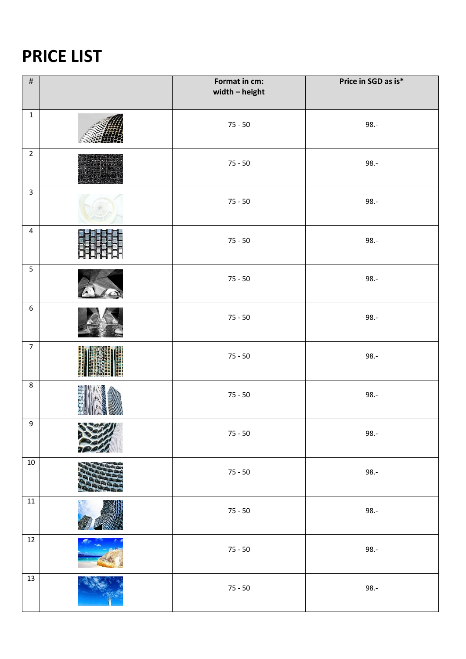## **PRICE LIST**

| $\#$                    |                                                         | Format in cm:<br>width $-$ height | Price in SGD as is* |
|-------------------------|---------------------------------------------------------|-----------------------------------|---------------------|
| $\mathbf 1$             |                                                         | $75 - 50$                         | $98.-$              |
| $\overline{2}$          |                                                         | $75 - 50$                         | $98.-$              |
| $\overline{\mathbf{3}}$ |                                                         | $75 - 50$                         | $98.-$              |
| $\overline{4}$          |                                                         | $75 - 50$                         | $98.-$              |
| $\overline{5}$          |                                                         | $75 - 50$                         | $98.-$              |
| $\boldsymbol{6}$        |                                                         | $75 - 50$                         | $98.-$              |
| $\overline{7}$          |                                                         | $75 - 50$                         | $98.-$              |
| $\,8\,$                 |                                                         | $75 - 50$                         | $98.-$              |
| 9                       | $\sim$ $\sim$ $\sim$ $\sim$ $\sim$ $\sim$ $\sim$ $\sim$ | $75 - 50$                         | $98.-$              |
| $10\,$                  |                                                         | $75 - 50$                         | $98.-$              |
| $11\,$                  |                                                         | $75 - 50$                         | $98.-$              |
| $12\,$                  |                                                         | $75 - 50$                         | $98.-$              |
| $13\,$                  |                                                         | $75 - 50$                         | $98.-$              |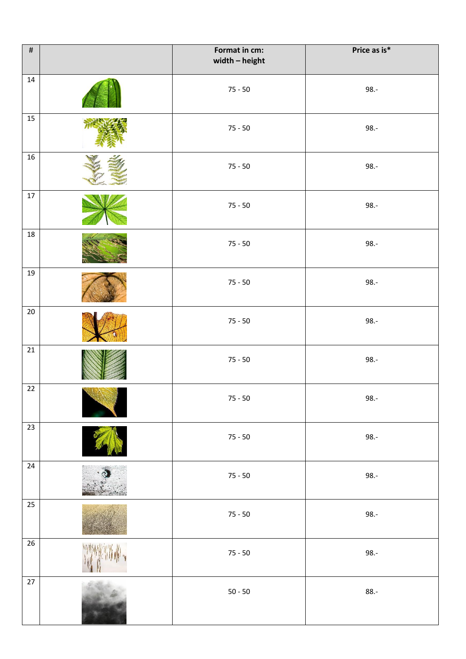| $\#$            |        | Format in cm:<br>width $-$ height | Price as is* |
|-----------------|--------|-----------------------------------|--------------|
| $14\,$          |        | $75 - 50$                         | $98. -$      |
| 15              |        | $75 - 50$                         | $98. -$      |
| 16              |        | $75 - 50$                         | $98. -$      |
| $17\,$          |        | $75 - 50$                         | $98. -$      |
| $18\,$          |        | $75 - 50$                         | $98. -$      |
| 19              |        | $75 - 50$                         | $98. -$      |
| $20\,$          |        | $75 - 50$                         | $98.-$       |
| 21              |        | $75 - 50$                         | $98. -$      |
| $22\,$          | ALI XI | $75 - 50$                         | $98.-$       |
| $23\,$          |        | $75 - 50$                         | $98.-$       |
| $\overline{24}$ |        | $75 - 50$                         | $98.-$       |
| $25\,$          |        | $75 - 50$                         | $98.-$       |
| $26\,$          |        | $75 - 50$                         | $98.-$       |
| $27\,$          |        | $50 - 50$                         | $88.-$       |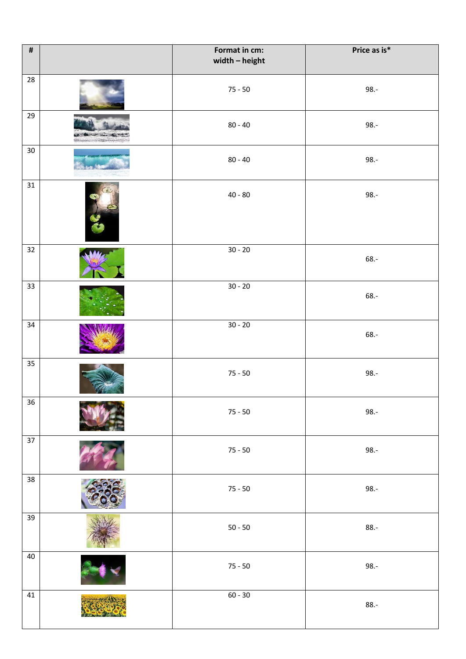| $\pmb{\sharp}$ | Format in cm:<br>width - height | Price as is* |
|----------------|---------------------------------|--------------|
| 28             | $75 - 50$                       | $98.-$       |
| 29             | $80 - 40$                       | $98.-$       |
| $30\,$         | $80 - 40$                       | $98. -$      |
| 31             | $40 - 80$                       | $98. -$      |
| 32             | $30 - 20$                       | $68. -$      |
| 33             | $30 - 20$                       | $68. -$      |
| 34             | $30 - 20$                       | 68.-         |
| 35             | $75 - 50$                       | $98.-$       |
| 36             | $75 - 50$                       | $98.-$       |
| 37             | $75 - 50$                       | $98.-$       |
| 38             | $75 - 50$                       | $98.-$       |
| 39             | $50 - 50$                       | $88.-$       |
| 40             | $75 - 50$                       | $98.-$       |
| $41\,$         | $60 - 30$                       | $88.-$       |